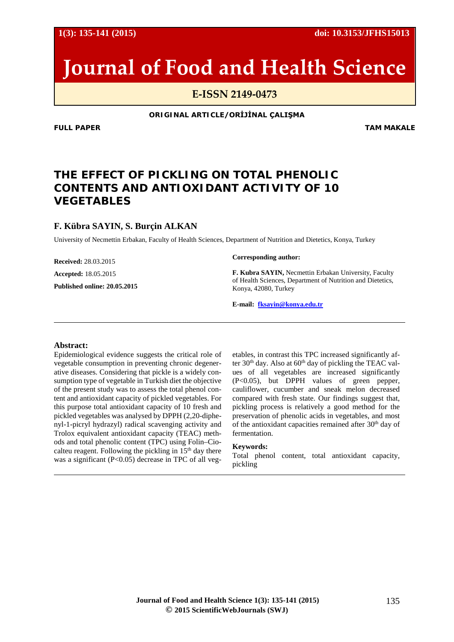**1(3): 135-141 (2015) doi: 10.3153/JFHS15013**

# **Journal of Food and Health Science**

**E-ISSN 2149-0473**

**ORIGINAL ARTICLE/ORİJİNAL ÇALIŞMA**

**FULL PAPER** TAM MAKALE

## **THE EFFECT OF PICKLING ON TOTAL PHENOLIC CONTENTS AND ANTIOXIDANT ACTIVITY OF 10 VEGETABLES**

## **F. Kübra SAYIN, S. Burçin ALKAN**

University of Necmettin Erbakan, Faculty of Health Sciences, Department of Nutrition and Dietetics, Konya, Turkey

**Received:** 28.03.2015

**Accepted:** 18.05.2015

**Published online: 20.05.2015**

#### **Corresponding author:**

**F. Kubra SAYIN,** Necmettin Erbakan University, Faculty of Health Sciences, Department of Nutrition and Dietetics, Konya, 42080, Turkey

**E-mail: [fksayin@konya.edu.tr](mailto:fksayin@konya.edu.tr)**

#### **Abstract:**

Epidemiological evidence suggests the critical role of vegetable consumption in preventing chronic degenerative diseases. Considering that pickle is a widely consumption type of vegetable in Turkish diet the objective of the present study was to assess the total phenol content and antioxidant capacity of pickled vegetables. For this purpose total antioxidant capacity of 10 fresh and pickled vegetables was analysed by DPPH (2,20-diphenyl-1-picryl hydrazyl) radical scavenging activity and Trolox equivalent antioxidant capacity (TEAC) methods and total phenolic content (TPC) using Folin–Ciocalteu reagent. Following the pickling in  $15<sup>th</sup>$  day there was a significant (P<0.05) decrease in TPC of all vegetables, in contrast this TPC increased significantly after  $30<sup>th</sup>$  day. Also at  $60<sup>th</sup>$  day of pickling the TEAC values of all vegetables are increased significantly (P<0.05), but DPPH values of green pepper, cauliflower, cucumber and sneak melon decreased compared with fresh state. Our findings suggest that, pickling process is relatively a good method for the preservation of phenolic acids in vegetables, and most of the antioxidant capacities remained after 30<sup>th</sup> day of fermentation.

#### **Keywords:**

Total phenol content, total antioxidant capacity, pickling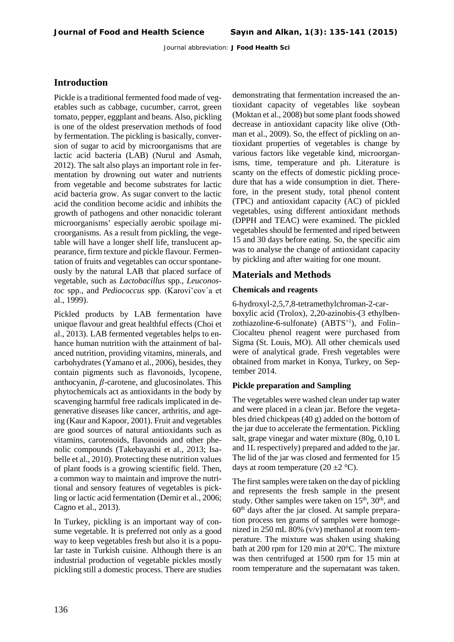## **Introduction**

Pickle is a traditional fermented food made of vegetables such as cabbage, cucumber, carrot, green tomato, pepper, eggplant and beans. Also, pickling is one of the oldest preservation methods of food by fermentation. The pickling is basically, conversion of sugar to acid by microorganisms that are lactic acid bacteria (LAB) (Nurul and Asmah, 2012). The salt also plays an important role in fermentation by drowning out water and nutrients from vegetable and become substrates for lactic acid bacteria grow. As sugar convert to the lactic acid the condition become acidic and inhibits the growth of pathogens and other nonacidic tolerant microorganisms' especially aerobic spoilage microorganisms. As a result from pickling, the vegetable will have a longer shelf life, translucent appearance, firm texture and pickle flavour. Fermentation of fruits and vegetables can occur spontaneously by the natural LAB that placed surface of vegetable, such as *Lactobacillus* spp., *Leuconostoc* spp., and *Pediococcus* spp. (Karoviˇcov´a et al., 1999).

Pickled products by LAB fermentation have unique flavour and great healthful effects (Choi et al., 2013). LAB fermented vegetables helps to enhance human nutrition with the attainment of balanced nutrition, providing vitamins, minerals, and carbohydrates (Yamano et al., 2006), besides, they contain pigments such as flavonoids, lycopene, anthocyanin,  $\beta$ -carotene, and glucosinolates. This phytochemicals act as antioxidants in the body by scavenging harmful free radicals implicated in degenerative diseases like cancer, arthritis, and ageing (Kaur and Kapoor, 2001). Fruit and vegetables are good sources of natural antioxidants such as vitamins, carotenoids, flavonoids and other phenolic compounds (Takebayashi et al., 2013; Isabelle et al., 2010). Protecting these nutrition values of plant foods is a growing scientific field. Then, a common way to maintain and improve the nutritional and sensory features of vegetables is pickling or lactic acid fermentation (Demir et al., 2006; Cagno et al., 2013).

In Turkey, pickling is an important way of consume vegetable. It is preferred not only as a good way to keep vegetables fresh but also it is a popular taste in Turkish cuisine. Although there is an industrial production of vegetable pickles mostly pickling still a domestic process. There are studies demonstrating that fermentation increased the antioxidant capacity of vegetables like soybean (Moktan et al., 2008) but some plant foods showed decrease in antioxidant capacity like olive (Othman et al., 2009). So, the effect of pickling on antioxidant properties of vegetables is change by various factors like vegetable kind, microorganisms, time, temperature and ph. Literature is scanty on the effects of domestic pickling procedure that has a wide consumption in diet. Therefore, in the present study, total phenol content (TPC) and antioxidant capacity (AC) of pickled vegetables, using different antioxidant methods (DPPH and TEAC) were examined. The pickled vegetables should be fermented and riped between 15 and 30 days before eating. So, the specific aim was to analyse the change of antioxidant capacity by pickling and after waiting for one mount.

## **Materials and Methods**

#### **Chemicals and reagents**

6-hydroxyl-2,5,7,8-tetramethylchroman-2-carboxylic acid (Trolox), 2,20-azinobis-(3 ethylbenzothiazoline-6-sulfonate)  $(ABTS<sup>+1</sup>)$ , and Folin– Ciocalteu phenol reagent were purchased from Sigma (St. Louis, MO). All other chemicals used were of analytical grade. Fresh vegetables were obtained from market in Konya, Turkey, on September 2014.

#### **Pickle preparation and Sampling**

The vegetables were washed clean under tap water and were placed in a clean jar. Before the vegetables dried chickpeas (40 g) added on the bottom of the jar due to accelerate the fermentation. Pickling salt, grape vinegar and water mixture (80g, 0,10 L and 1L respectively) prepared and added to the jar. The lid of the jar was closed and fermented for 15 days at room temperature  $(20 \pm 2 \degree C)$ .

The first samples were taken on the day of pickling and represents the fresh sample in the present study. Other samples were taken on  $15<sup>th</sup>$ ,  $30<sup>th</sup>$ , and  $60<sup>th</sup>$  days after the jar closed. At sample preparation process ten grams of samples were homogenized in 250 mL 80% (v/v) methanol at room temperature. The mixture was shaken using shaking bath at 200 rpm for 120 min at 20°C. The mixture was then centrifuged at 1500 rpm for 15 min at room temperature and the supernatant was taken.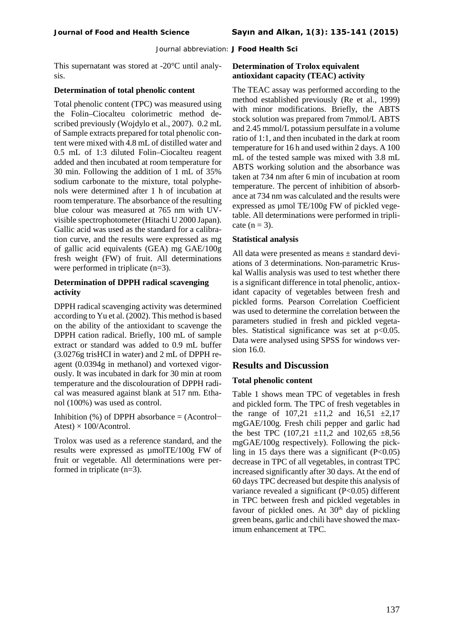This supernatant was stored at -20°C until analysis.

#### **Determination of total phenolic content**

Total phenolic content (TPC) was measured using the Folin–Ciocalteu colorimetric method described previously (Wojdylo et al., 2007). 0.2 mL of Sample extracts prepared for total phenolic content were mixed with 4.8 mL of distilled water and 0.5 mL of 1:3 diluted Folin–Ciocalteu reagent added and then incubated at room temperature for 30 min. Following the addition of 1 mL of 35% sodium carbonate to the mixture, total polyphenols were determined after 1 h of incubation at room temperature. The absorbance of the resulting blue colour was measured at 765 nm with UVvisible spectrophotometer (Hitachi U 2000 Japan). Gallic acid was used as the standard for a calibration curve, and the results were expressed as mg of gallic acid equivalents (GEA) mg GAE/100g fresh weight (FW) of fruit. All determinations were performed in triplicate (n=3).

#### **Determination of DPPH radical scavenging activity**

DPPH radical scavenging activity was determined according to Yu et al. (2002). This method is based on the ability of the antioxidant to scavenge the DPPH cation radical. Briefly, 100 mL of sample extract or standard was added to 0.9 mL buffer (3.0276g trisHCI in water) and 2 mL of DPPH reagent (0.0394g in methanol) and vortexed vigorously. It was incubated in dark for 30 min at room temperature and the discolouration of DPPH radical was measured against blank at 517 nm. Ethanol (100%) was used as control.

Inhibition (%) of DPPH absorbance = (Acontrol− Atest)  $\times$  100/Acontrol.

Trolox was used as a reference standard, and the results were expressed as µmolTE/100g FW of fruit or vegetable. All determinations were performed in triplicate (n=3).

#### **Determination of Trolox equivalent antioxidant capacity (TEAC) activity**

The TEAC assay was performed according to the method established previously (Re et al., 1999) with minor modifications. Briefly, the ABTS stock solution was prepared from 7mmol/L ABTS and 2.45 mmol/L potassium persulfate in a volume ratio of 1:1, and then incubated in the dark at room temperature for 16 h and used within 2 days. A 100 mL of the tested sample was mixed with 3.8 mL ABTS working solution and the absorbance was taken at 734 nm after 6 min of incubation at room temperature. The percent of inhibition of absorbance at 734 nm was calculated and the results were expressed as µmol TE/100g FW of pickled vegetable. All determinations were performed in triplicate  $(n = 3)$ .

#### **Statistical analysis**

All data were presented as means ± standard deviations of 3 determinations. Non-parametric Kruskal Wallis analysis was used to test whether there is a significant difference in total phenolic, antioxidant capacity of vegetables between fresh and pickled forms. Pearson Correlation Coefficient was used to determine the correlation between the parameters studied in fresh and pickled vegetables. Statistical significance was set at  $p<0.05$ . Data were analysed using SPSS for windows version 16.0.

## **Results and Discussion**

#### **Total phenolic content**

Table 1 shows mean TPC of vegetables in fresh and pickled form. The TPC of fresh vegetables in the range of  $107,21 \pm 11,2$  and  $16,51 \pm 2,17$ mgGAE/100g. Fresh chili pepper and garlic had the best TPC  $(107,21 \pm 11,2 \text{ and } 102,65 \pm 8,56$ mgGAE/100g respectively). Following the pickling in 15 days there was a significant  $(P<0.05)$ decrease in TPC of all vegetables, in contrast TPC increased significantly after 30 days. At the end of 60 days TPC decreased but despite this analysis of variance revealed a significant (P<0.05) different in TPC between fresh and pickled vegetables in favour of pickled ones. At  $30<sup>th</sup>$  day of pickling green beans, garlic and chili have showed the maximum enhancement at TPC.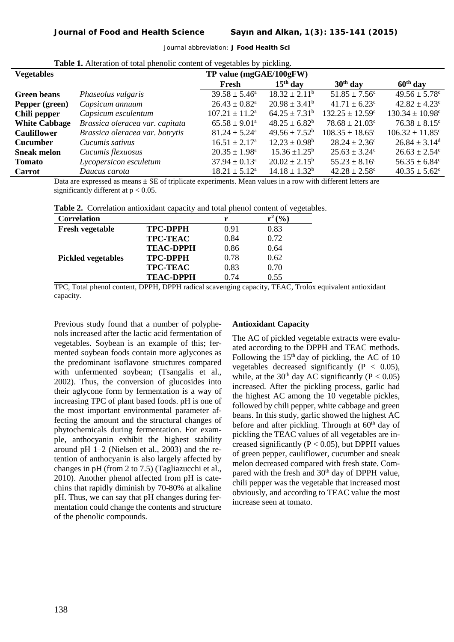| <b>Vegetables</b>    |                                 | TP value (mgGAE/100gFW)      |                          |                                |                                 |  |
|----------------------|---------------------------------|------------------------------|--------------------------|--------------------------------|---------------------------------|--|
|                      |                                 | Fresh                        | $15th$ day               | $30th$ day                     | $60th$ day                      |  |
| <b>Green beans</b>   | Phaseolus vulgaris              | $39.58 \pm 5.46^{\circ}$     | $18.32 \pm 2.11^b$       | $51.85 \pm 7.56$ <sup>c</sup>  | $49.56 \pm 5.78$ c              |  |
| Pepper (green)       | Capsicum annuum                 | $26.43 \pm 0.82^{\text{a}}$  | $20.98 \pm 3.41^b$       | $41.71 \pm 6.23$ °             | $42.82 \pm 4.23$ <sup>c</sup>   |  |
| Chili pepper         | Capsicum esculentum             | $107.21 \pm 11.2^{\text{a}}$ | $64.25 \pm 7.31^b$       | $132.25 \pm 12.59^{\circ}$     | $130.34 \pm 10.98^{\circ}$      |  |
| <b>White Cabbage</b> | Brassica oleracea var. capitata | $65.58 \pm 9.01^{\circ}$     | $48.25 \pm 6.82^b$       | $78.68 \pm 21.03$ <sup>c</sup> | $76.38 \pm 8.15$ <sup>c</sup>   |  |
| <b>Cauliflower</b>   | Brassica oleracea var. botrytis | $81.24 \pm 5.24^{\circ}$     | $49.56 \pm 7.52^b$       | $108.35 \pm 18.65^{\circ}$     | $106.32 \pm 11.85$ <sup>c</sup> |  |
| <b>Cucumber</b>      | Cucumis sativus                 | $16.51 \pm 2.17^{\text{a}}$  | $12.23 \pm 0.98^{\rm b}$ | $28.24 \pm 2.36^{\circ}$       | $26.84 \pm 3.14^d$              |  |
| <b>Sneak melon</b>   | Cucumis flexuosus               | $20.35 \pm 1.98^{\text{a}}$  | $15.36 \pm 1.25^{\circ}$ | $25.63 \pm 3.24^{\circ}$       | $26.63 \pm 2.54^{\circ}$        |  |
| <b>Tomato</b>        | Lycopersicon esculetum          | $37.94 \pm 0.13^a$           | $20.02 \pm 2.15^b$       | $55.23 \pm 8.16^c$             | $56.35 \pm 6.84^c$              |  |
| <b>Carrot</b>        | Daucus carota                   | $18.21 \pm 5.12^{\text{a}}$  | $14.18 \pm 1.32^b$       | $42.28 \pm 2.58$ <sup>c</sup>  | $40.35 \pm 5.62^{\circ}$        |  |

**Table 1.** Alteration of total phenolic content of vegetables by pickling.

Data are expressed as means  $\pm$  SE of triplicate experiments. Mean values in a row with different letters are significantly different at  $p < 0.05$ .

| Table 2. Correlation antioxidant capacity and total phenol content of vegetables. |  |  |  |  |  |
|-----------------------------------------------------------------------------------|--|--|--|--|--|
|-----------------------------------------------------------------------------------|--|--|--|--|--|

| <b>Correlation</b>        |                  | r    | (9/0) |
|---------------------------|------------------|------|-------|
| <b>Fresh vegetable</b>    | <b>TPC-DPPH</b>  | 0.91 | 0.83  |
|                           | <b>TPC-TEAC</b>  | 0.84 | 0.72  |
|                           | <b>TEAC-DPPH</b> | 0.86 | 0.64  |
| <b>Pickled vegetables</b> | <b>TPC-DPPH</b>  | 0.78 | 0.62  |
|                           | <b>TPC-TEAC</b>  | 0.83 | 0.70  |
|                           | <b>TEAC-DPPH</b> | 0.74 | 0.55  |

TPC, Total phenol content, DPPH, DPPH radical scavenging capacity, TEAC, Trolox equivalent antioxidant capacity.

Previous study found that a number of polyphenols increased after the lactic acid fermentation of vegetables. Soybean is an example of this; fermented soybean foods contain more aglycones as the predominant isoflavone structures compared with unfermented soybean: (Tsangalis et al., 2002). Thus, the conversion of glucosides into their aglycone form by fermentation is a way of increasing TPC of plant based foods. pH is one of the most important environmental parameter affecting the amount and the structural changes of phytochemicals during fermentation. For example, anthocyanin exhibit the highest stability around pH 1–2 (Nielsen et al., 2003) and the retention of anthocyanin is also largely affected by changes in pH (from 2 to 7.5) (Tagliazucchi et al., 2010). Another phenol affected from pH is catechins that rapidly diminish by 70-80% at alkaline pH. Thus, we can say that pH changes during fermentation could change the contents and structure of the phenolic compounds.

#### **Antioxidant Capacity**

The AC of pickled vegetable extracts were evaluated according to the DPPH and TEAC methods. Following the  $15<sup>th</sup>$  day of pickling, the AC of 10 vegetables decreased significantly  $(P < 0.05)$ , while, at the 30<sup>th</sup> day AC significantly ( $P < 0.05$ ) increased. After the pickling process, garlic had the highest AC among the 10 vegetable pickles, followed by chili pepper, white cabbage and green beans. In this study, garlic showed the highest AC before and after pickling. Through at 60<sup>th</sup> day of pickling the TEAC values of all vegetables are increased significantly ( $P < 0.05$ ), but DPPH values of green pepper, cauliflower, cucumber and sneak melon decreased compared with fresh state. Compared with the fresh and  $30<sup>th</sup>$  day of DPPH value. chili pepper was the vegetable that increased most obviously, and according to TEAC value the most increase seen at tomato.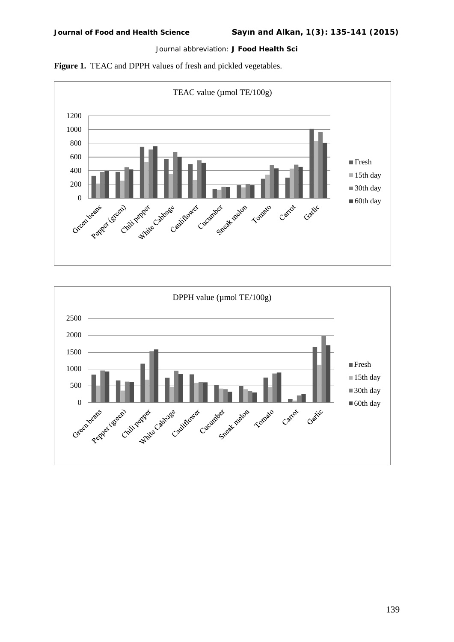



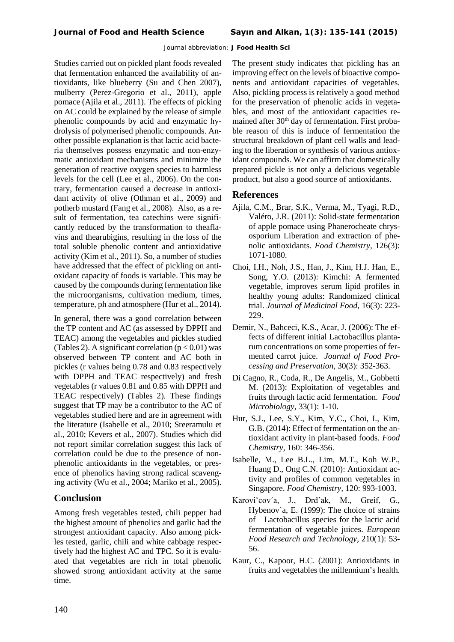Studies carried out on pickled plant foods revealed that fermentation enhanced the availability of antioxidants, like blueberry (Su and Chen 2007), mulberry (Perez-Gregorio et al., 2011), apple pomace (Ajila et al., 2011). The effects of picking on AC could be explained by the release of simple phenolic compounds by acid and enzymatic hydrolysis of polymerised phenolic compounds. Another possible explanation is that lactic acid bacteria themselves possess enzymatic and non-enzymatic antioxidant mechanisms and minimize the generation of reactive oxygen species to harmless levels for the cell (Lee et al., 2006). On the contrary, fermentation caused a decrease in antioxidant activity of olive (Othman et al., 2009) and potherb mustard (Fang et al., 2008). Also, as a result of fermentation, tea catechins were significantly reduced by the transformation to theaflavins and thearubigins, resulting in the loss of the total soluble phenolic content and antioxidative activity (Kim et al., 2011). So, a number of studies have addressed that the effect of pickling on antioxidant capacity of foods is variable. This may be caused by the compounds during fermentation like the microorganisms, cultivation medium, times, temperature, ph and atmosphere (Hur et al., 2014).

In general, there was a good correlation between the TP content and AC (as assessed by DPPH and TEAC) among the vegetables and pickles studied (Tables 2). A significant correlation  $(p < 0.01)$  was observed between TP content and AC both in pickles (r values being 0.78 and 0.83 respectively with DPPH and TEAC respectively) and fresh vegetables (r values 0.81 and 0.85 with DPPH and TEAC respectively) (Tables 2). These findings suggest that TP may be a contributor to the AC of vegetables studied here and are in agreement with the literature (Isabelle et al., 2010; Sreeramulu et al., 2010; Kevers et al., 2007). Studies which did not report similar correlation suggest this lack of correlation could be due to the presence of nonphenolic antioxidants in the vegetables, or presence of phenolics having strong radical scavenging activity (Wu et al., 2004; Mariko et al., 2005).

## **Conclusion**

Among fresh vegetables tested, chili pepper had the highest amount of phenolics and garlic had the strongest antioxidant capacity. Also among pickles tested, garlic, chili and white cabbage respectively had the highest AC and TPC. So it is evaluated that vegetables are rich in total phenolic showed strong antioxidant activity at the same time.

The present study indicates that pickling has an improving effect on the levels of bioactive components and antioxidant capacities of vegetables. Also, pickling process is relatively a good method for the preservation of phenolic acids in vegetables, and most of the antioxidant capacities remained after 30<sup>th</sup> day of fermentation. First probable reason of this is induce of fermentation the structural breakdown of plant cell walls and leading to the liberation or synthesis of various antioxidant compounds. We can affirm that domestically prepared pickle is not only a delicious vegetable product, but also a good source of antioxidants.

## **References**

- Ajila, C.M., Brar, S.K., Verma, M., Tyagi, R.D., Valéro, J.R. (2011): Solid-state fermentation of apple pomace using Phanerocheate chrysosporium Liberation and extraction of phenolic antioxidants. *Food Chemistry*, 126(3): 1071-1080.
- Choi, I.H., Noh, J.S., Han, J., Kim, H.J. Han, E., Song, Y.O. (2013): Kimchi: A fermented vegetable, improves serum lipid profiles in healthy young adults: Randomized clinical trial. *Journal of Medicinal Food*, 16(3): 223- 229.
- Demir, N., Bahceci, K.S., Acar, J. (2006): The effects of different initial Lactobacillus plantarum concentrations on some properties of fermented carrot juice. *Journal of Food Processing and Preservation,* 30(3): 352-363.
- Di Cagno, R., Coda, R., De Angelis, M., Gobbetti M. (2013): Exploitation of vegetables and fruits through lactic acid fermentation. *Food Microbiology,* 33(1): 1-10.
- Hur, S.J., Lee, S.Y., Kim, Y.C., Choi, I., Kim, G.B. (2014): Effect of fermentation on the antioxidant activity in plant-based foods. *Food Chemistry,* 160: 346-356.
- Isabelle, M., Lee B.L., Lim, M.T., Koh W.P., Huang D., Ong C.N. (2010): Antioxidant activity and profiles of common vegetables in Singapore. *Food Chemistry,* 120: 993-1003.
- Karovi<sup>\*</sup>cov<sup>'</sup>a, J., Drd'ak, M., Greif, G., Hybenov´a, E. (1999): The choice of strains of Lactobacillus species for the lactic acid fermentation of vegetable juices. *European Food Research and Technology*, 210(1): 53- 56.
- Kaur, C., Kapoor, H.C. (2001): Antioxidants in fruits and vegetables the millennium's health.